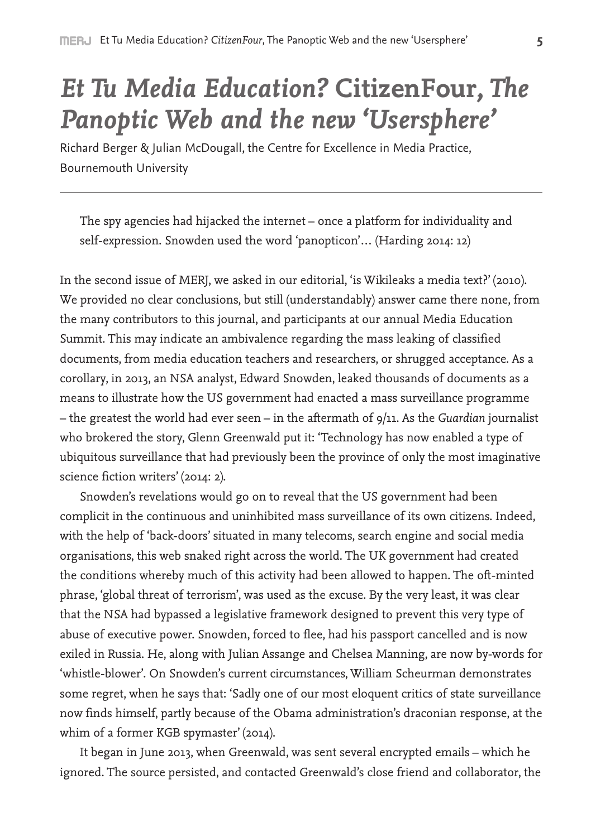## *Et Tu Media Education?* **CitizenFour***, The Panoptic Web and the new 'Usersphere'*

Richard Berger & Julian McDougall, the Centre for Excellence in Media Practice, Bournemouth University

The spy agencies had hijacked the internet – once a platform for individuality and self-expression. Snowden used the word 'panopticon'… (Harding 2014: 12)

In the second issue of MERJ, we asked in our editorial, 'is Wikileaks a media text?' (2010). We provided no clear conclusions, but still (understandably) answer came there none, from the many contributors to this journal, and participants at our annual Media Education Summit. This may indicate an ambivalence regarding the mass leaking of classified documents, from media education teachers and researchers, or shrugged acceptance. As a corollary, in 2013, an NSA analyst, Edward Snowden, leaked thousands of documents as a means to illustrate how the US government had enacted a mass surveillance programme – the greatest the world had ever seen – in the aftermath of 9/11. As the *Guardian* journalist who brokered the story, Glenn Greenwald put it: 'Technology has now enabled a type of ubiquitous surveillance that had previously been the province of only the most imaginative science fiction writers' (2014: 2).

Snowden's revelations would go on to reveal that the US government had been complicit in the continuous and uninhibited mass surveillance of its own citizens. Indeed, with the help of 'back-doors' situated in many telecoms, search engine and social media organisations, this web snaked right across the world. The UK government had created the conditions whereby much of this activity had been allowed to happen. The oft-minted phrase, 'global threat of terrorism', was used as the excuse. By the very least, it was clear that the NSA had bypassed a legislative framework designed to prevent this very type of abuse of executive power. Snowden, forced to flee, had his passport cancelled and is now exiled in Russia. He, along with Julian Assange and Chelsea Manning, are now by-words for 'whistle-blower'. On Snowden's current circumstances, William Scheurman demonstrates some regret, when he says that: 'Sadly one of our most eloquent critics of state surveillance now finds himself, partly because of the Obama administration's draconian response, at the whim of a former KGB spymaster' (2014).

It began in June 2013, when Greenwald, was sent several encrypted emails – which he ignored. The source persisted, and contacted Greenwald's close friend and collaborator, the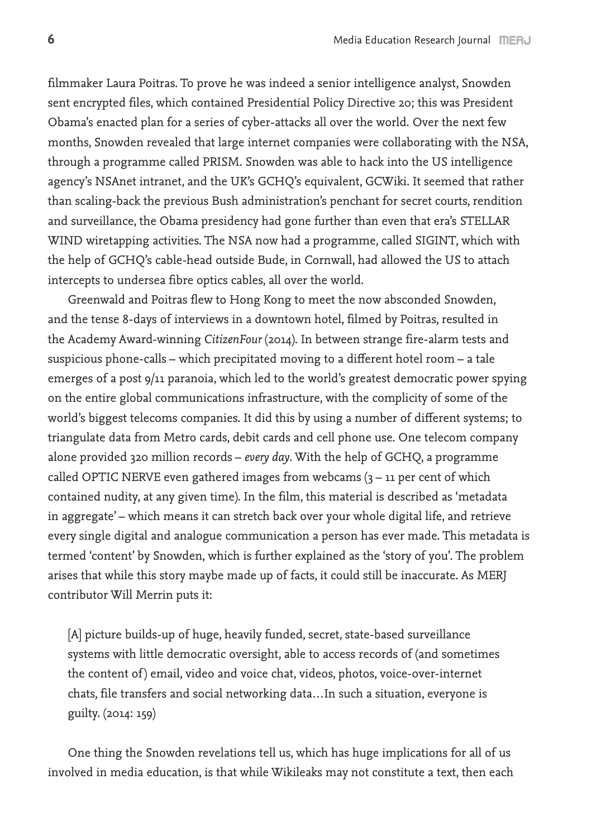filmmaker Laura Poitras. To prove he was indeed a senior intelligence analyst, Snowden sent encrypted files, which contained Presidential Policy Directive 20; this was President Obama's enacted plan for a series of cyber-attacks all over the world. Over the next few months, Snowden revealed that large internet companies were collaborating with the NSA, through a programme called PRISM. Snowden was able to hack into the US intelligence agency's NSAnet intranet, and the UK's GCHQ's equivalent, GCWiki. It seemed that rather than scaling-back the previous Bush administration's penchant for secret courts, rendition and surveillance, the Obama presidency had gone further than even that era's STELLAR WIND wiretapping activities. The NSA now had a programme, called SIGINT, which with the help of GCHQ's cable-head outside Bude, in Cornwall, had allowed the US to attach intercepts to undersea fibre optics cables, all over the world.

Greenwald and Poitras flew to Hong Kong to meet the now absconded Snowden, and the tense 8-days of interviews in a downtown hotel, filmed by Poitras, resulted in the Academy Award-winning *CitizenFour* (2014). In between strange fire-alarm tests and suspicious phone-calls – which precipitated moving to a different hotel room – a tale emerges of a post 9/11 paranoia, which led to the world's greatest democratic power spying on the entire global communications infrastructure, with the complicity of some of the world's biggest telecoms companies. It did this by using a number of different systems; to triangulate data from Metro cards, debit cards and cell phone use. One telecom company alone provided 320 million records – *every day*. With the help of GCHQ, a programme called OPTIC NERVE even gathered images from webcams  $(3 - 11)$  per cent of which contained nudity, at any given time). In the film, this material is described as 'metadata in aggregate' – which means it can stretch back over your whole digital life, and retrieve every single digital and analogue communication a person has ever made. This metadata is termed 'content' by Snowden, which is further explained as the 'story of you'. The problem arises that while this story maybe made up of facts, it could still be inaccurate. As MERJ contributor Will Merrin puts it:

[A] picture builds-up of huge, heavily funded, secret, state-based surveillance systems with little democratic oversight, able to access records of (and sometimes the content of) email, video and voice chat, videos, photos, voice-over-internet chats, file transfers and social networking data…In such a situation, everyone is guilty. (2014: 159)

One thing the Snowden revelations tell us, which has huge implications for all of us involved in media education, is that while Wikileaks may not constitute a text, then each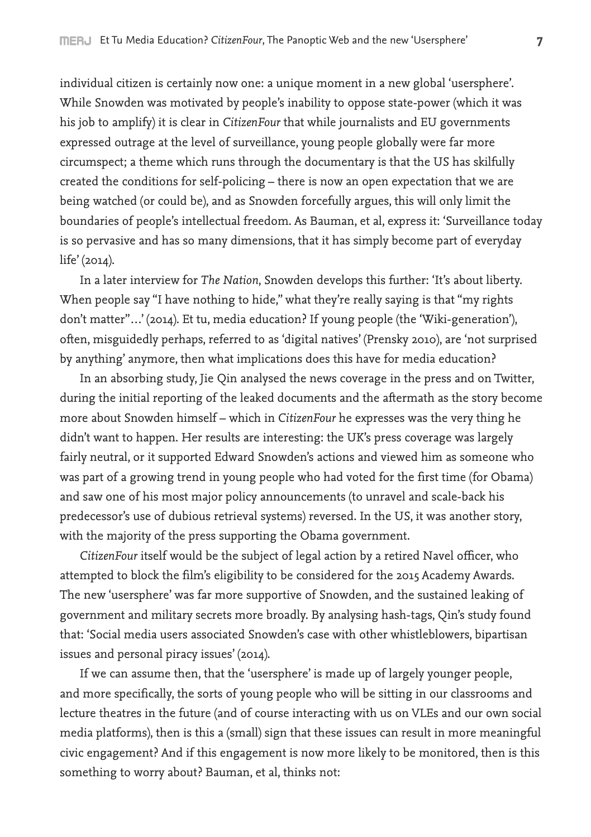individual citizen is certainly now one: a unique moment in a new global 'usersphere'. While Snowden was motivated by people's inability to oppose state-power (which it was his job to amplify) it is clear in *CitizenFour* that while journalists and EU governments expressed outrage at the level of surveillance, young people globally were far more circumspect; a theme which runs through the documentary is that the US has skilfully created the conditions for self-policing – there is now an open expectation that we are being watched (or could be), and as Snowden forcefully argues, this will only limit the boundaries of people's intellectual freedom. As Bauman, et al, express it: 'Surveillance today is so pervasive and has so many dimensions, that it has simply become part of everyday life' (2014).

In a later interview for *The Nation*, Snowden develops this further: 'It's about liberty. When people say "I have nothing to hide," what they're really saying is that "my rights don't matter"…' (2014). Et tu, media education? If young people (the 'Wiki-generation'), often, misguidedly perhaps, referred to as 'digital natives' (Prensky 2010), are 'not surprised by anything' anymore, then what implications does this have for media education?

In an absorbing study, Jie Qin analysed the news coverage in the press and on Twitter, during the initial reporting of the leaked documents and the aftermath as the story become more about Snowden himself – which in *CitizenFour* he expresses was the very thing he didn't want to happen. Her results are interesting: the UK's press coverage was largely fairly neutral, or it supported Edward Snowden's actions and viewed him as someone who was part of a growing trend in young people who had voted for the first time (for Obama) and saw one of his most major policy announcements (to unravel and scale-back his predecessor's use of dubious retrieval systems) reversed. In the US, it was another story, with the majority of the press supporting the Obama government.

*CitizenFour* itself would be the subject of legal action by a retired Navel officer, who attempted to block the film's eligibility to be considered for the 2015 Academy Awards. The new 'usersphere' was far more supportive of Snowden, and the sustained leaking of government and military secrets more broadly. By analysing hash-tags, Qin's study found that: 'Social media users associated Snowden's case with other whistleblowers, bipartisan issues and personal piracy issues' (2014).

If we can assume then, that the 'usersphere' is made up of largely younger people, and more specifically, the sorts of young people who will be sitting in our classrooms and lecture theatres in the future (and of course interacting with us on VLEs and our own social media platforms), then is this a (small) sign that these issues can result in more meaningful civic engagement? And if this engagement is now more likely to be monitored, then is this something to worry about? Bauman, et al, thinks not: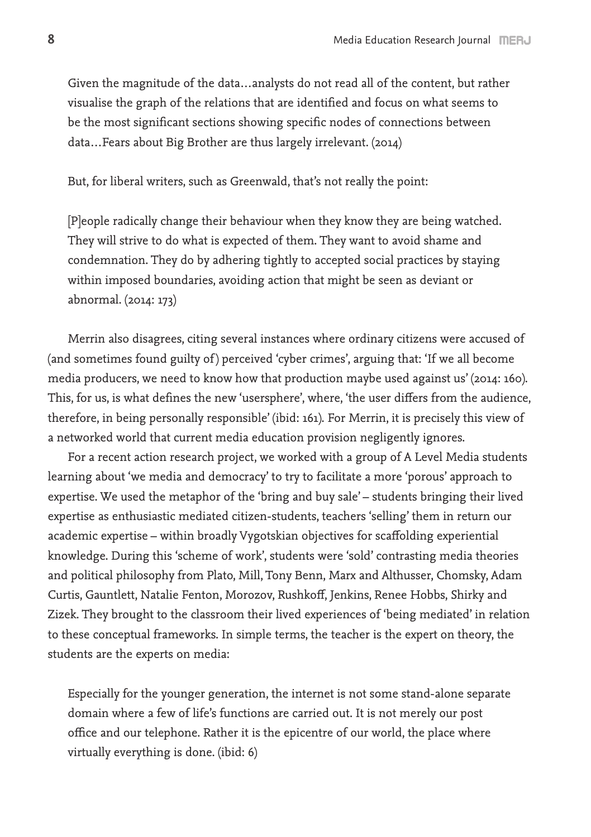Given the magnitude of the data…analysts do not read all of the content, but rather visualise the graph of the relations that are identified and focus on what seems to be the most significant sections showing specific nodes of connections between data…Fears about Big Brother are thus largely irrelevant. (2014)

But, for liberal writers, such as Greenwald, that's not really the point:

[P]eople radically change their behaviour when they know they are being watched. They will strive to do what is expected of them. They want to avoid shame and condemnation. They do by adhering tightly to accepted social practices by staying within imposed boundaries, avoiding action that might be seen as deviant or abnormal. (2014: 173)

Merrin also disagrees, citing several instances where ordinary citizens were accused of (and sometimes found guilty of ) perceived 'cyber crimes', arguing that: 'If we all become media producers, we need to know how that production maybe used against us' (2014: 160). This, for us, is what defines the new 'usersphere', where, 'the user differs from the audience, therefore, in being personally responsible' (ibid: 161). For Merrin, it is precisely this view of a networked world that current media education provision negligently ignores.

For a recent action research project, we worked with a group of A Level Media students learning about 'we media and democracy' to try to facilitate a more 'porous' approach to expertise. We used the metaphor of the 'bring and buy sale' – students bringing their lived expertise as enthusiastic mediated citizen-students, teachers 'selling' them in return our academic expertise – within broadly Vygotskian objectives for scaffolding experiential knowledge. During this 'scheme of work', students were 'sold' contrasting media theories and political philosophy from Plato, Mill, Tony Benn, Marx and Althusser, Chomsky, Adam Curtis, Gauntlett, Natalie Fenton, Morozov, Rushkoff, Jenkins, Renee Hobbs, Shirky and Zizek. They brought to the classroom their lived experiences of 'being mediated' in relation to these conceptual frameworks. In simple terms, the teacher is the expert on theory, the students are the experts on media:

Especially for the younger generation, the internet is not some stand-alone separate domain where a few of life's functions are carried out. It is not merely our post office and our telephone. Rather it is the epicentre of our world, the place where virtually everything is done. (ibid: 6)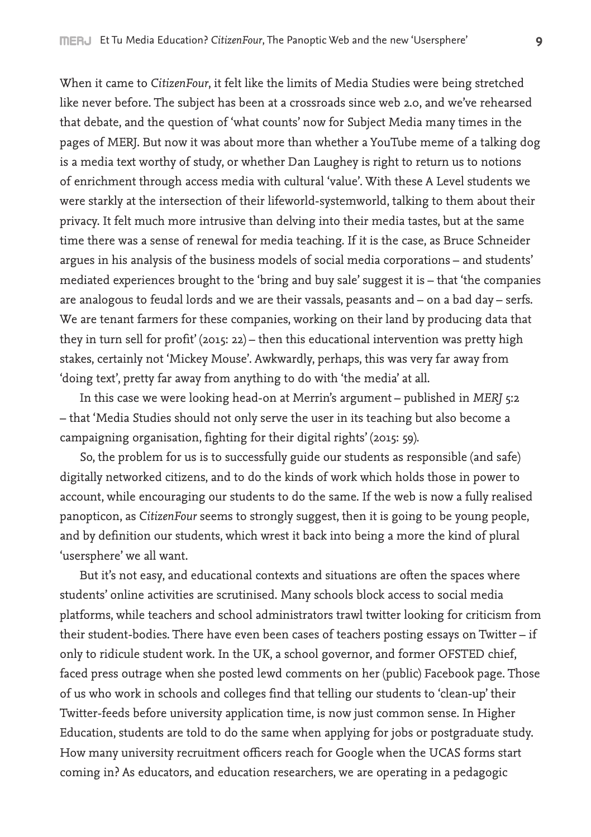When it came to *CitizenFour*, it felt like the limits of Media Studies were being stretched like never before. The subject has been at a crossroads since web 2.0, and we've rehearsed that debate, and the question of 'what counts' now for Subject Media many times in the pages of MERJ. But now it was about more than whether a YouTube meme of a talking dog is a media text worthy of study, or whether Dan Laughey is right to return us to notions of enrichment through access media with cultural 'value'. With these A Level students we were starkly at the intersection of their lifeworld-systemworld, talking to them about their privacy. It felt much more intrusive than delving into their media tastes, but at the same time there was a sense of renewal for media teaching. If it is the case, as Bruce Schneider argues in his analysis of the business models of social media corporations – and students' mediated experiences brought to the 'bring and buy sale' suggest it is – that 'the companies are analogous to feudal lords and we are their vassals, peasants and – on a bad day – serfs. We are tenant farmers for these companies, working on their land by producing data that they in turn sell for profit' (2015: 22) – then this educational intervention was pretty high stakes, certainly not 'Mickey Mouse'. Awkwardly, perhaps, this was very far away from 'doing text', pretty far away from anything to do with 'the media' at all.

In this case we were looking head-on at Merrin's argument – published in *MERJ* 5:2 – that 'Media Studies should not only serve the user in its teaching but also become a campaigning organisation, fighting for their digital rights' (2015: 59).

So, the problem for us is to successfully guide our students as responsible (and safe) digitally networked citizens, and to do the kinds of work which holds those in power to account, while encouraging our students to do the same. If the web is now a fully realised panopticon, as *CitizenFour* seems to strongly suggest, then it is going to be young people, and by definition our students, which wrest it back into being a more the kind of plural 'usersphere' we all want.

But it's not easy, and educational contexts and situations are often the spaces where students' online activities are scrutinised. Many schools block access to social media platforms, while teachers and school administrators trawl twitter looking for criticism from their student-bodies. There have even been cases of teachers posting essays on Twitter – if only to ridicule student work. In the UK, a school governor, and former OFSTED chief, faced press outrage when she posted lewd comments on her (public) Facebook page. Those of us who work in schools and colleges find that telling our students to 'clean-up' their Twitter-feeds before university application time, is now just common sense. In Higher Education, students are told to do the same when applying for jobs or postgraduate study. How many university recruitment officers reach for Google when the UCAS forms start coming in? As educators, and education researchers, we are operating in a pedagogic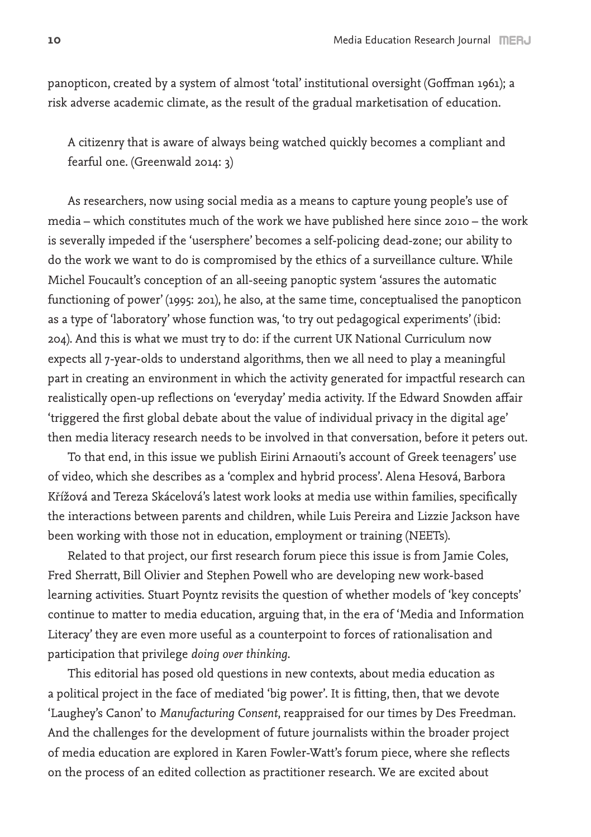panopticon, created by a system of almost 'total' institutional oversight (Goffman 1961); a risk adverse academic climate, as the result of the gradual marketisation of education.

A citizenry that is aware of always being watched quickly becomes a compliant and fearful one. (Greenwald 2014: 3)

As researchers, now using social media as a means to capture young people's use of media – which constitutes much of the work we have published here since 2010 – the work is severally impeded if the 'usersphere' becomes a self-policing dead-zone; our ability to do the work we want to do is compromised by the ethics of a surveillance culture. While Michel Foucault's conception of an all-seeing panoptic system 'assures the automatic functioning of power' (1995: 201), he also, at the same time, conceptualised the panopticon as a type of 'laboratory' whose function was, 'to try out pedagogical experiments' (ibid: 204). And this is what we must try to do: if the current UK National Curriculum now expects all 7-year-olds to understand algorithms, then we all need to play a meaningful part in creating an environment in which the activity generated for impactful research can realistically open-up reflections on 'everyday' media activity. If the Edward Snowden affair 'triggered the first global debate about the value of individual privacy in the digital age' then media literacy research needs to be involved in that conversation, before it peters out.

To that end, in this issue we publish Eirini Arnaouti's account of Greek teenagers' use of video, which she describes as a 'complex and hybrid process'. Alena Hesová, Barbora Křížová and Tereza Skácelová's latest work looks at media use within families, specifically the interactions between parents and children, while Luis Pereira and Lizzie Jackson have been working with those not in education, employment or training (NEETs).

Related to that project, our first research forum piece this issue is from Jamie Coles, Fred Sherratt, Bill Olivier and Stephen Powell who are developing new work-based learning activities. Stuart Poyntz revisits the question of whether models of 'key concepts' continue to matter to media education, arguing that, in the era of 'Media and Information Literacy' they are even more useful as a counterpoint to forces of rationalisation and participation that privilege *doing over thinking*.

This editorial has posed old questions in new contexts, about media education as a political project in the face of mediated 'big power'. It is fitting, then, that we devote 'Laughey's Canon' to *Manufacturing Consent*, reappraised for our times by Des Freedman. And the challenges for the development of future journalists within the broader project of media education are explored in Karen Fowler-Watt's forum piece, where she reflects on the process of an edited collection as practitioner research. We are excited about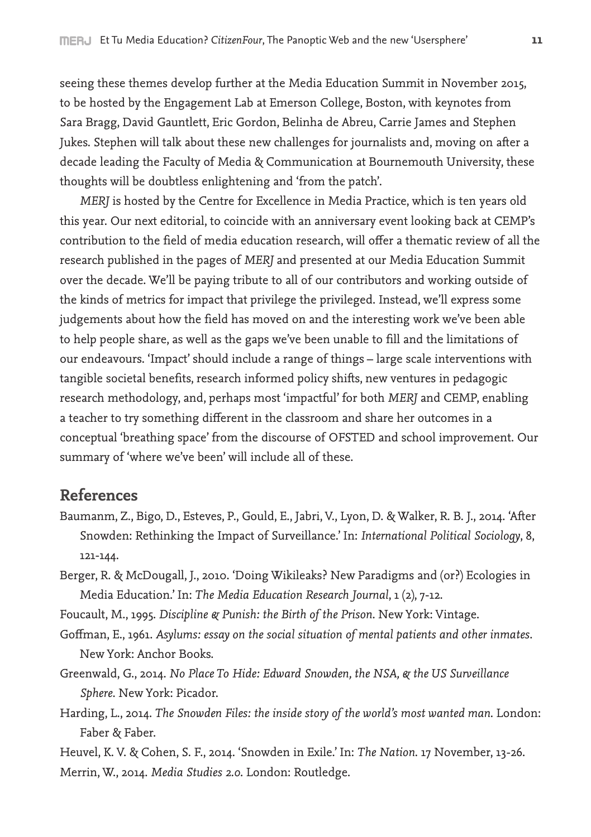seeing these themes develop further at the Media Education Summit in November 2015, to be hosted by the Engagement Lab at Emerson College, Boston, with keynotes from Sara Bragg, David Gauntlett, Eric Gordon, Belinha de Abreu, Carrie James and Stephen Jukes. Stephen will talk about these new challenges for journalists and, moving on after a decade leading the Faculty of Media & Communication at Bournemouth University, these thoughts will be doubtless enlightening and 'from the patch'.

*MERJ* is hosted by the Centre for Excellence in Media Practice, which is ten years old this year. Our next editorial, to coincide with an anniversary event looking back at CEMP's contribution to the field of media education research, will offer a thematic review of all the research published in the pages of *MERJ* and presented at our Media Education Summit over the decade. We'll be paying tribute to all of our contributors and working outside of the kinds of metrics for impact that privilege the privileged. Instead, we'll express some judgements about how the field has moved on and the interesting work we've been able to help people share, as well as the gaps we've been unable to fill and the limitations of our endeavours. 'Impact' should include a range of things – large scale interventions with tangible societal benefits, research informed policy shifts, new ventures in pedagogic research methodology, and, perhaps most 'impactful' for both *MERJ* and CEMP, enabling a teacher to try something different in the classroom and share her outcomes in a conceptual 'breathing space' from the discourse of OFSTED and school improvement. Our summary of 'where we've been' will include all of these.

## **References**

- Baumanm, Z., Bigo, D., Esteves, P., Gould, E., Jabri, V., Lyon, D. & Walker, R. B. J., 2014. 'After Snowden: Rethinking the Impact of Surveillance.' In: *International Political Sociology*, 8, 121-144.
- Berger, R. & McDougall, J., 2010. 'Doing Wikileaks? New Paradigms and (or?) Ecologies in Media Education.' In: *The Media Education Research Journal*, 1 (2), 7-12.

Foucault, M., 1995. *Discipline & Punish: the Birth of the Prison*. New York: Vintage.

- Goffman, E., 1961. *Asylums: essay on the social situation of mental patients and other inmates*. New York: Anchor Books.
- Greenwald, G., 2014. *No Place To Hide: Edward Snowden, the NSA, & the US Surveillance Sphere*. New York: Picador.
- Harding, L., 2014. *The Snowden Files: the inside story of the world's most wanted man*. London: Faber & Faber.
- Heuvel, K. V. & Cohen, S. F., 2014. 'Snowden in Exile.' In: *The Nation*. 17 November, 13-26. Merrin, W., 2014. *Media Studies 2.0*. London: Routledge.